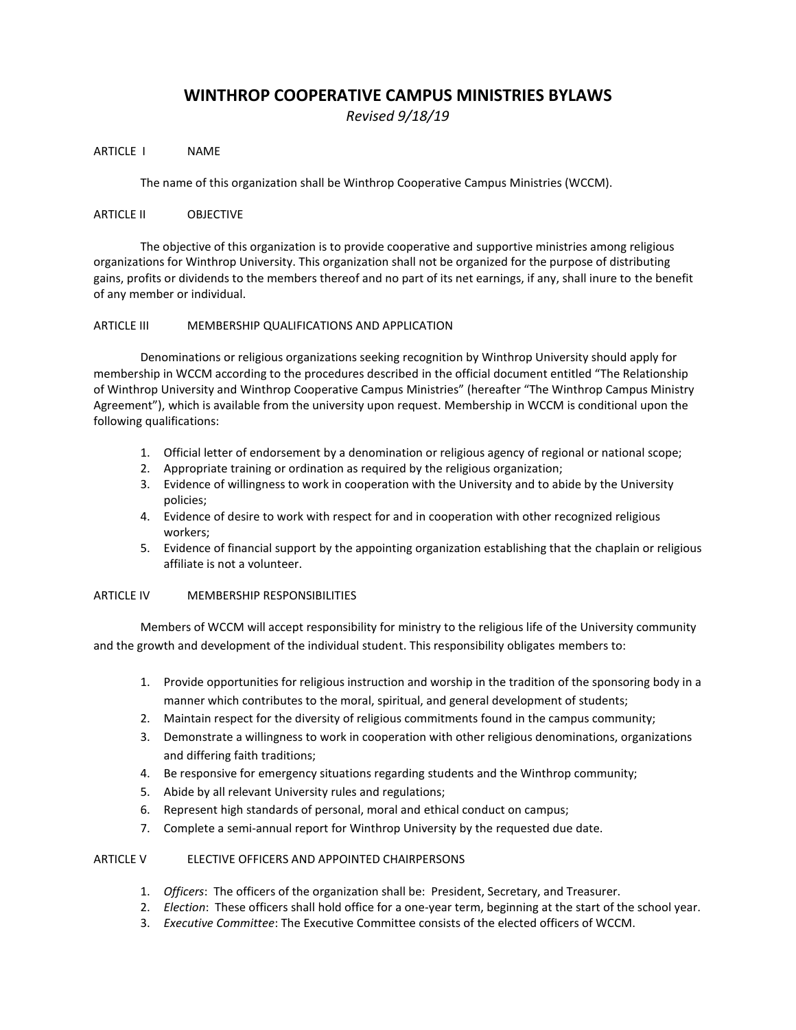# **WINTHROP COOPERATIVE CAMPUS MINISTRIES BYLAWS**

*Revised 9/18/19*

ARTICLE I NAME

The name of this organization shall be Winthrop Cooperative Campus Ministries (WCCM).

# ARTICLE II OBJECTIVE

The objective of this organization is to provide cooperative and supportive ministries among religious organizations for Winthrop University. This organization shall not be organized for the purpose of distributing gains, profits or dividends to the members thereof and no part of its net earnings, if any, shall inure to the benefit of any member or individual.

## ARTICLE III MEMBERSHIP QUALIFICATIONS AND APPLICATION

Denominations or religious organizations seeking recognition by Winthrop University should apply for membership in WCCM according to the procedures described in the official document entitled "The Relationship of Winthrop University and Winthrop Cooperative Campus Ministries" (hereafter "The Winthrop Campus Ministry Agreement"), which is available from the university upon request. Membership in WCCM is conditional upon the following qualifications:

- 1. Official letter of endorsement by a denomination or religious agency of regional or national scope;
- 2. Appropriate training or ordination as required by the religious organization;
- 3. Evidence of willingness to work in cooperation with the University and to abide by the University policies;
- 4. Evidence of desire to work with respect for and in cooperation with other recognized religious workers;
- 5. Evidence of financial support by the appointing organization establishing that the chaplain or religious affiliate is not a volunteer.

## ARTICLE IV MEMBERSHIP RESPONSIBILITIES

Members of WCCM will accept responsibility for ministry to the religious life of the University community and the growth and development of the individual student. This responsibility obligates members to:

- 1. Provide opportunities for religious instruction and worship in the tradition of the sponsoring body in a manner which contributes to the moral, spiritual, and general development of students;
- 2. Maintain respect for the diversity of religious commitments found in the campus community;
- 3. Demonstrate a willingness to work in cooperation with other religious denominations, organizations and differing faith traditions;
- 4. Be responsive for emergency situations regarding students and the Winthrop community;
- 5. Abide by all relevant University rules and regulations;
- 6. Represent high standards of personal, moral and ethical conduct on campus;
- 7. Complete a semi-annual report for Winthrop University by the requested due date.

# ARTICLE V ELECTIVE OFFICERS AND APPOINTED CHAIRPERSONS

- 1. *Officers*: The officers of the organization shall be: President, Secretary, and Treasurer.
- 2. *Election*: These officers shall hold office for a one-year term, beginning at the start of the school year.
- 3. *Executive Committee*: The Executive Committee consists of the elected officers of WCCM.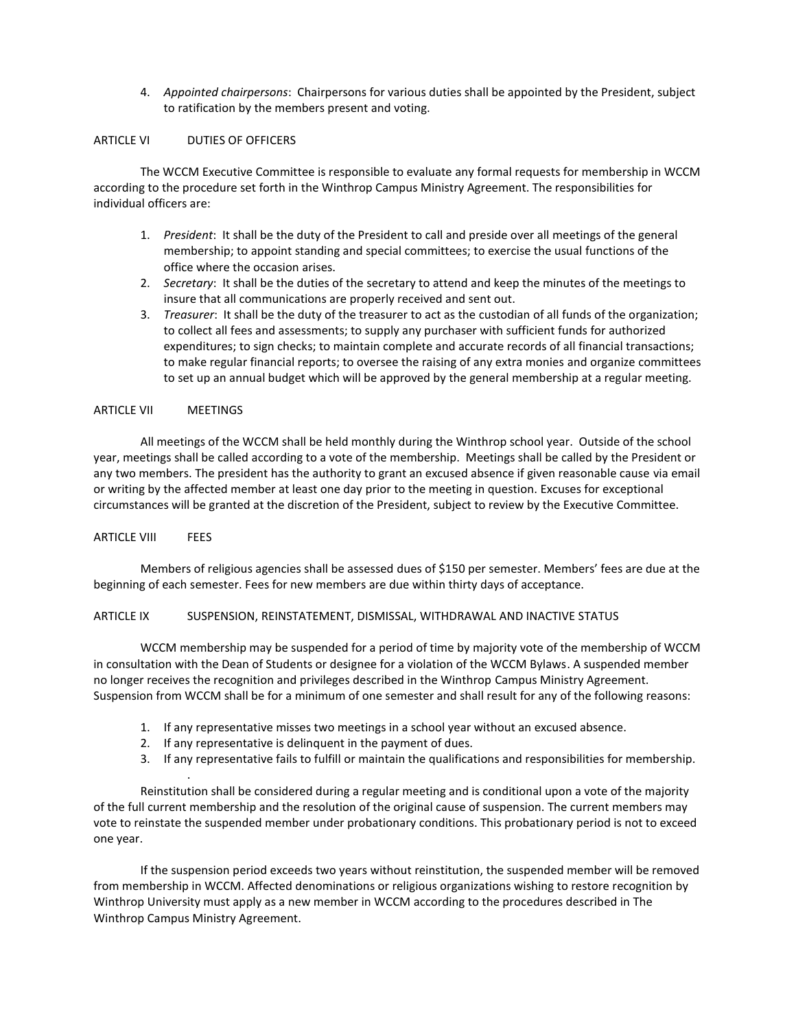4. *Appointed chairpersons*: Chairpersons for various duties shall be appointed by the President, subject to ratification by the members present and voting.

#### ARTICLE VI DUTIES OF OFFICERS

The WCCM Executive Committee is responsible to evaluate any formal requests for membership in WCCM according to the procedure set forth in the Winthrop Campus Ministry Agreement. The responsibilities for individual officers are:

- 1. *President*: It shall be the duty of the President to call and preside over all meetings of the general membership; to appoint standing and special committees; to exercise the usual functions of the office where the occasion arises.
- 2. *Secretary*: It shall be the duties of the secretary to attend and keep the minutes of the meetings to insure that all communications are properly received and sent out.
- 3. *Treasurer*: It shall be the duty of the treasurer to act as the custodian of all funds of the organization; to collect all fees and assessments; to supply any purchaser with sufficient funds for authorized expenditures; to sign checks; to maintain complete and accurate records of all financial transactions; to make regular financial reports; to oversee the raising of any extra monies and organize committees to set up an annual budget which will be approved by the general membership at a regular meeting.

#### ARTICLE VII MEETINGS

All meetings of the WCCM shall be held monthly during the Winthrop school year. Outside of the school year, meetings shall be called according to a vote of the membership. Meetings shall be called by the President or any two members. The president has the authority to grant an excused absence if given reasonable cause via email or writing by the affected member at least one day prior to the meeting in question. Excuses for exceptional circumstances will be granted at the discretion of the President, subject to review by the Executive Committee.

#### ARTICLE VIII FEES

.

Members of religious agencies shall be assessed dues of \$150 per semester. Members' fees are due at the beginning of each semester. Fees for new members are due within thirty days of acceptance.

## ARTICLE IX SUSPENSION, REINSTATEMENT, DISMISSAL, WITHDRAWAL AND INACTIVE STATUS

WCCM membership may be suspended for a period of time by majority vote of the membership of WCCM in consultation with the Dean of Students or designee for a violation of the WCCM Bylaws. A suspended member no longer receives the recognition and privileges described in the Winthrop Campus Ministry Agreement. Suspension from WCCM shall be for a minimum of one semester and shall result for any of the following reasons:

- 1. If any representative misses two meetings in a school year without an excused absence.
- 2. If any representative is delinquent in the payment of dues.
- 3. If any representative fails to fulfill or maintain the qualifications and responsibilities for membership.

Reinstitution shall be considered during a regular meeting and is conditional upon a vote of the majority of the full current membership and the resolution of the original cause of suspension. The current members may vote to reinstate the suspended member under probationary conditions. This probationary period is not to exceed one year.

If the suspension period exceeds two years without reinstitution, the suspended member will be removed from membership in WCCM. Affected denominations or religious organizations wishing to restore recognition by Winthrop University must apply as a new member in WCCM according to the procedures described in The Winthrop Campus Ministry Agreement.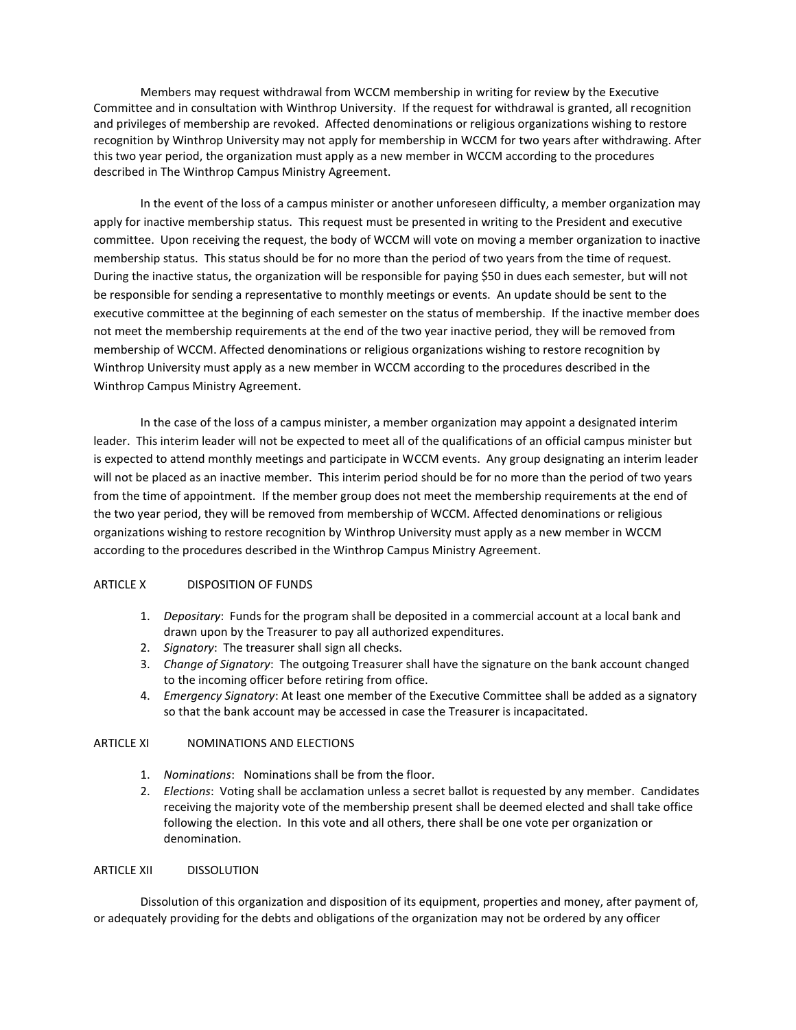Members may request withdrawal from WCCM membership in writing for review by the Executive Committee and in consultation with Winthrop University. If the request for withdrawal is granted, all recognition and privileges of membership are revoked. Affected denominations or religious organizations wishing to restore recognition by Winthrop University may not apply for membership in WCCM for two years after withdrawing. After this two year period, the organization must apply as a new member in WCCM according to the procedures described in The Winthrop Campus Ministry Agreement.

In the event of the loss of a campus minister or another unforeseen difficulty, a member organization may apply for inactive membership status. This request must be presented in writing to the President and executive committee. Upon receiving the request, the body of WCCM will vote on moving a member organization to inactive membership status. This status should be for no more than the period of two years from the time of request. During the inactive status, the organization will be responsible for paying \$50 in dues each semester, but will not be responsible for sending a representative to monthly meetings or events. An update should be sent to the executive committee at the beginning of each semester on the status of membership. If the inactive member does not meet the membership requirements at the end of the two year inactive period, they will be removed from membership of WCCM. Affected denominations or religious organizations wishing to restore recognition by Winthrop University must apply as a new member in WCCM according to the procedures described in the Winthrop Campus Ministry Agreement.

In the case of the loss of a campus minister, a member organization may appoint a designated interim leader. This interim leader will not be expected to meet all of the qualifications of an official campus minister but is expected to attend monthly meetings and participate in WCCM events. Any group designating an interim leader will not be placed as an inactive member. This interim period should be for no more than the period of two years from the time of appointment. If the member group does not meet the membership requirements at the end of the two year period, they will be removed from membership of WCCM. Affected denominations or religious organizations wishing to restore recognition by Winthrop University must apply as a new member in WCCM according to the procedures described in the Winthrop Campus Ministry Agreement.

#### ARTICLE X DISPOSITION OF FUNDS

- 1. *Depositary*: Funds for the program shall be deposited in a commercial account at a local bank and drawn upon by the Treasurer to pay all authorized expenditures.
- 2. *Signatory*: The treasurer shall sign all checks.
- 3. *Change of Signatory*: The outgoing Treasurer shall have the signature on the bank account changed to the incoming officer before retiring from office.
- 4. *Emergency Signatory*: At least one member of the Executive Committee shall be added as a signatory so that the bank account may be accessed in case the Treasurer is incapacitated.

# ARTICLE XI NOMINATIONS AND ELECTIONS

- 1. *Nominations*: Nominations shall be from the floor.
- 2. *Elections*: Voting shall be acclamation unless a secret ballot is requested by any member. Candidates receiving the majority vote of the membership present shall be deemed elected and shall take office following the election. In this vote and all others, there shall be one vote per organization or denomination.

#### ARTICLE XII DISSOLUTION

Dissolution of this organization and disposition of its equipment, properties and money, after payment of, or adequately providing for the debts and obligations of the organization may not be ordered by any officer